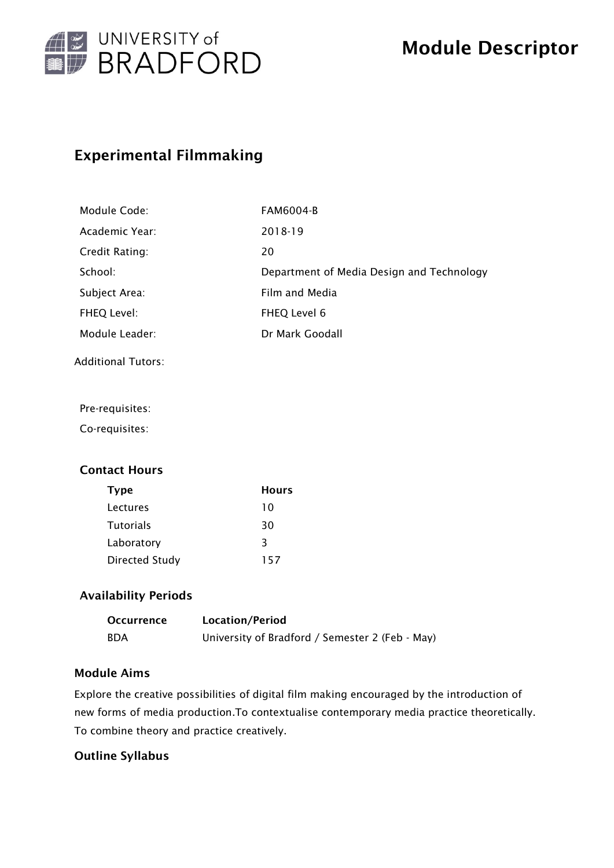

# Experimental Filmmaking

| <b>FAM6004-B</b>                          |
|-------------------------------------------|
| 2018-19                                   |
| 20                                        |
| Department of Media Design and Technology |
| Film and Media                            |
| FHEQ Level 6                              |
| Dr Mark Goodall                           |
|                                           |

Additional Tutors:

Pre-requisites:

Co-requisites:

## Contact Hours

| <b>Type</b>           | <b>Hours</b> |
|-----------------------|--------------|
| Lectures              | 10           |
| <b>Tutorials</b>      | 30           |
| Laboratory            | 3            |
| <b>Directed Study</b> | 157          |

### Availability Periods

| <b>Occurrence</b> | Location/Period                                 |
|-------------------|-------------------------------------------------|
| <b>BDA</b>        | University of Bradford / Semester 2 (Feb - May) |

### Module Aims

Explore the creative possibilities of digital film making encouraged by the introduction of new forms of media production.To contextualise contemporary media practice theoretically. To combine theory and practice creatively.

#### Outline Syllabus